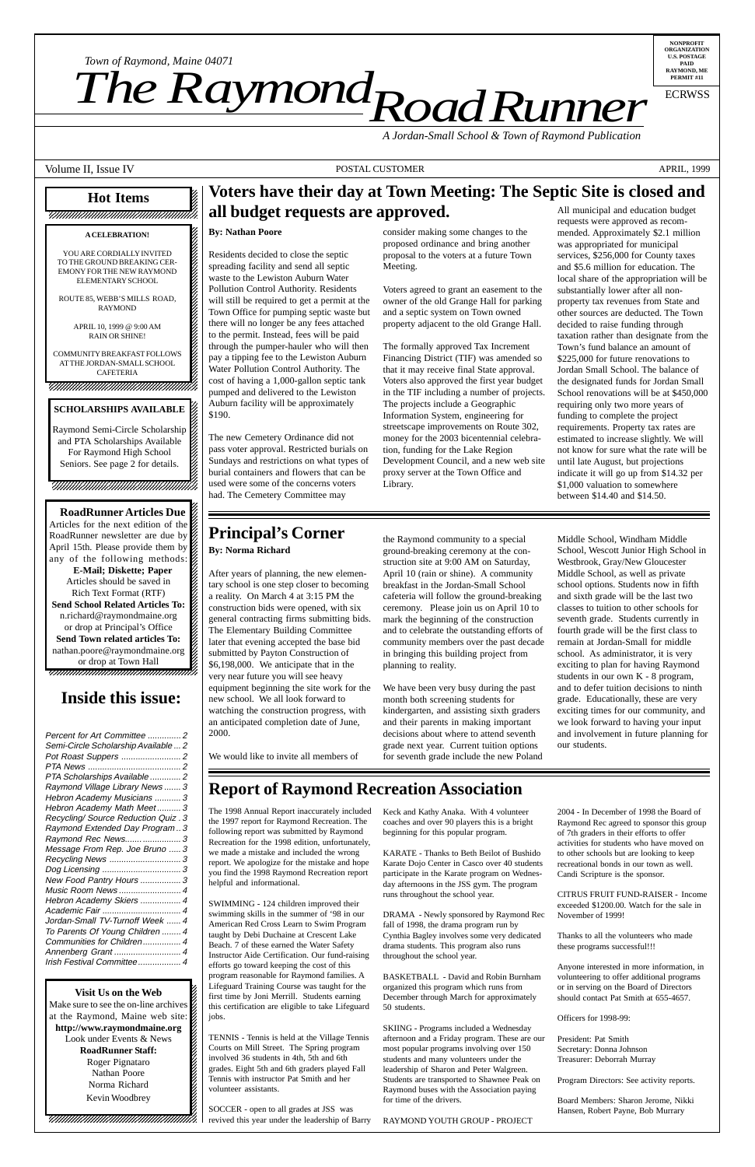**SCHOLARSHIPS AVAILABLE**

Raymond Semi-Circle Scholarship and PTA Scholarships Available For Raymond High School 1234567890123456789012345678901212345678901234 Seniors. See page 2 for details. 1234567890123456789012345678901212345678901234 Raymond Semi-Circle Scholarship

1234567890123456789012345678901212345678901234 1234567890123456789012345678901212345678901234 1 4 1234567890123456789012345678901212345678901234 1234567890123456789012345678901212345678901234

12345678901234567890123456789012123456789012345 12345678901234567890123456789012123456789012345 12345678901234567890123456789012123456789012345 **RoadRunner Articles Due** 

12345678901234567890123456789012123456789012345 Articles for the next edition of the  $\%$ 12345678901234567890123456789012123456789012345 RoadRunner newsletter are due by  $\%$ 12345678901234567890123456789012123456789012345 April 15th. Please provide them by  $\%$ any of the following methods: 12345678901234567890123456789012123456789012345 **E-Mail; Diskette; Paper** 12345678901234567890123456789012123456789012345 Articles should be saved in  $\mathscr{D}$ 12345678901234567890123456789012123456789012345 Rich Text Format (RTF)  $\%$ 12345678901234567890123456789012123456789012345 **Send School Related Articles To:** 12345678901234567890123456789012123456789012345 n.richard@raymondmaine.org 12345678901234567890123456789012123456789012345 or drop at Principal's Office  $\mathscr{L}$ **Send Town related articles To:** 12345678901234567890123456789012123456789012345 nathan.poore@raymondmaine.org  $\%$ or drop at Town Hall 12345678901234567890123456789012123456789012345 12345678901234567890123456789012123456789012345 12345678901234567890123456789012123456789012345

# Inside This Issue **Inside this issue:**

#### 12345678901234567890123456789012345678901234567890123456789012345678901234567890123456789012345678901234567890 12345678901234567890123456789012123456789012345 **Visit Us on the Web**

12345678901234567890123456789012123456789012345 Make sure to see the on-line archives  $\mathcal{Z}$ at the Raymond, Maine web site:  $1235678901234567890123456789012345678901234567890123456789012345678901234567890123456789012345678901234567890123456789012345678901234567890123456789012345678901234567890123456789012345678901234567890123456789012345678901$ http://www.raymondmaine.org Look under Events  $&$  News  $1235678901234567890123456789012345678901234567890123456789012345678901234567890123456789012345678901234567890123456789012345678901234567890123456789012345678901234567890123456789012345678901234567890123456789012345678901$ **RoadRunner Staff:** 12345678901234567890123456789012123456789012345 Roger Pignataro  $\mathscr{C}$ 12345678901234567890123456789012123456789012345 Nathan Poore 12345678901234567890123456789012123456789012345 Norma Richard 2 12345678901234567890123456789012123456789012345 12345678901234567890123456789012123456789012345 Kevin Woodbrey  $1$  5  $-$  5  $-$  5  $-$  5  $-$  5  $-$  5  $-$  5  $-$  5  $-$  5  $-$  5  $-$  5  $-$  5  $-$  5  $-$  5  $-$  5  $-$  5  $-$  5  $-$  5  $-$  5  $-$  5  $-$  5  $-$  5  $-$  5  $-$  5  $-$  5  $-$  5  $-$  5  $-$  5  $-$  5  $-$  5  $-$  5  $-$  5  $-$  5  $-$  5  $-$  5  $-$  5  $-$  5

 $1235678901234567890123456789012345678901234567890123456789012345678901234567890123456789012345678901234567890123456789012345678901234567890123456789012345678901234567890123456789012345678901234567890123456789012345678901$  $1235678901234567890123456789012345678901234567890123456789012345678901234567890123456789012345678901234567890123456789012345678901234567890123456789012345678901234567890123456789012345678901234567890123456789012345678901$ 12345678901234567890123456789012123456789012345 12345678901234567890123456789012123456789012345 12345678901234567890123456789012123456789012345 \$190.

The new Cemetery Ordinance did not pass voter approval. Restricted burials on Sundays and restrictions on what types of burial containers and flowers that can be used were some of the concerns voters had. The Cemetery Committee may

### **Principal's Corner By: Norma Richard**

After years of planning, the new elementary school is one step closer to becoming a reality. On March 4 at 3:15 PM the construction bids were opened, with six general contracting firms submitting bids. The Elementary Building Committee later that evening accepted the base bid submitted by Payton Construction of \$6,198,000. We anticipate that in the very near future you will see heavy equipment beginning the site work for the new school. We all look forward to watching the construction progress, with an anticipated completion date of June, 2000.

Information System, engineering for streetscape improvements on Route 302, money for the 2003 bicentennial celebration, funding for the Lake Region Development Council, and a new web site proxy server at the Town Office and Library.

the Raymond community to a special ground-breaking ceremony at the construction site at 9:00 AM on Saturday, April 10 (rain or shine). A community breakfast in the Jordan-Small School cafeteria will follow the ground-breaking ceremony. Please join us on April 10 to mark the beginning of the construction and to celebrate the outstanding efforts of community members over the past decade in bringing this building project from planning to reality.

We have been very busy during the past month both screening students for kindergarten, and assisting sixth graders and their parents in making important decisions about where to attend seventh grade next year. Current tuition options for seventh grade include the new Poland

We would like to invite all members of

## **Report of Raymond Recreation Association**

The 1998 Annual Report inaccurately included the 1997 report for Raymond Recreation. The following report was submitted by Raymond Recreation for the 1998 edition, unfortunately, we made a mistake and included the wrong report. We apologize for the mistake and hope you find the 1998 Raymond Recreation report helpful and informational.

SWIMMING - 124 children improved their swimming skills in the summer of '98 in our American Red Cross Learn to Swim Program taught by Debi Duchaine at Crescent Lake Beach. 7 of these earned the Water Safety Instructor Aide Certification. Our fund-raising efforts go toward keeping the cost of this program reasonable for Raymond families. A Lifeguard Training Course was taught for the first time by Joni Merrill. Students earning this certification are eligible to take Lifeguard jobs.

TENNIS - Tennis is held at the Village Tennis Courts on Mill Street. The Spring program involved 36 students in 4th, 5th and 6th grades. Eight 5th and 6th graders played Fall Tennis with instructor Pat Smith and her volunteer assistants.

SOCCER - open to all grades at JSS was revived this year under the leadership of Barry

Keck and Kathy Anaka. With 4 volunteer coaches and over 90 players this is a bright beginning for this popular program.

KARATE - Thanks to Beth Beilot of Bushido Karate Dojo Center in Casco over 40 students participate in the Karate program on Wednesday afternoons in the JSS gym. The program runs throughout the school year.

DRAMA - Newly sponsored by Raymond Rec fall of 1998, the drama program run by Cynthia Bagley involves some very dedicated drama students. This program also runs throughout the school year.

BASKETBALL - David and Robin Burnham organized this program which runs from December through March for approximately 50 students.

SKIING - Programs included a Wednesday afternoon and a Friday program. These are our most popular programs involving over 150 students and many volunteers under the leadership of Sharon and Peter Walgreen. Students are transported to Shawnee Peak on Raymond buses with the Association paying for time of the drivers.

RAYMOND YOUTH GROUP - PROJECT

 $2004 - 1$ Raymo of 7th  $g$ activitie to other recreati Candi S

**CITRU** exceed Novem

Thanks these pr

Anyone volunte or in se should

Officer

Preside Secreta Treasur

Program

Board I Hansen

fundin require estima not kn until la indicat  $$1,000$ betwee

Middle School Westbr Middle school and six classes sevent fourth remain school excitin studen and to grade. excitin we loo and in our stu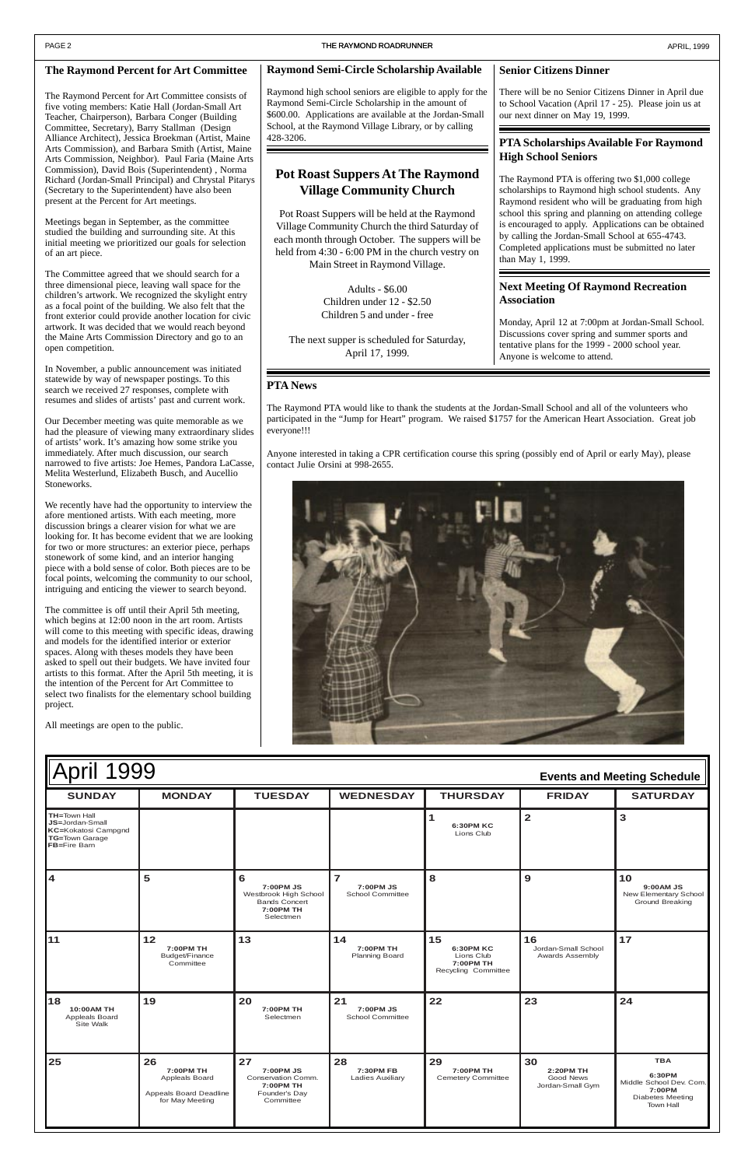



| 4                                               | 5                                                                                     | 6<br>7:00PM JS<br>Westbrook High School<br><b>Bands Concert</b><br>7:00PM TH<br>Selectmen | $\overline{7}$<br>7:00PM JS<br><b>School Committee</b> | 8                                                                        | 9                                                | 10<br>9:00 AM JS<br>New Elementary School<br><b>Ground Breaking</b>                                      |
|-------------------------------------------------|---------------------------------------------------------------------------------------|-------------------------------------------------------------------------------------------|--------------------------------------------------------|--------------------------------------------------------------------------|--------------------------------------------------|----------------------------------------------------------------------------------------------------------|
| 11                                              | $12$<br>7:00PM TH<br>Budget/Finance<br>Committee                                      | 13                                                                                        | 14<br>7:00PM TH<br><b>Planning Board</b>               | 15<br><b>6:30PM KC</b><br>Lions Club<br>7:00PM TH<br>Recycling Committee | 16<br>Jordan-Small School<br>Awards Assembly     | 17                                                                                                       |
| 18<br>10:00AM TH<br>Appleals Board<br>Site Walk | 19                                                                                    | 20<br>7:00PM TH<br>Selectmen                                                              | 21<br>7:00PM JS<br><b>School Committee</b>             | 22                                                                       | 23                                               | 24                                                                                                       |
| 25                                              | 26<br>7:00PM TH<br><b>Appleals Board</b><br>Appeals Board Deadline<br>for May Meeting | 27<br>7:00PM JS<br>Conservation Comm.<br>7:00PM TH<br>Founder's Day<br>Committee          | 28<br>7:30PM FB<br><b>Ladies Auxiliary</b>             | 29<br>7:00PM TH<br><b>Cemetery Committee</b>                             | 30<br>2:20PM TH<br>Good News<br>Jordan-Small Gym | <b>TBA</b><br>6:30PM<br>Middle School Dev. Com.<br>7:00PM<br><b>Diabetes Meeting</b><br><b>Town Hall</b> |

#### **The Raymond Percent for Art Committee**

The Raymond Percent for Art Committee consists of five voting members: Katie Hall (Jordan-Small Art Teacher, Chairperson), Barbara Conger (Building Committee, Secretary), Barry Stallman (Design Alliance Architect), Jessica Broekman (Artist, Maine Arts Commission), and Barbara Smith (Artist, Maine Arts Commission, Neighbor). Paul Faria (Maine Arts Commission), David Bois (Superintendent) , Norma Richard (Jordan-Small Principal) and Chrystal Pitarys (Secretary to the Superintendent) have also been present at the Percent for Art meetings.

Meetings began in September, as the committee studied the building and surrounding site. At this initial meeting we prioritized our goals for selection of an art piece.

The Committee agreed that we should search for a three dimensional piece, leaving wall space for the children's artwork. We recognized the skylight entry as a focal point of the building. We also felt that the front exterior could provide another location for civic artwork. It was decided that we would reach beyond the Maine Arts Commission Directory and go to an open competition.

In November, a public announcement was initiated statewide by way of newspaper postings. To this search we received 27 responses, complete with resumes and slides of artists' past and current work.

Our December meeting was quite memorable as we had the pleasure of viewing many extraordinary slides of artists' work. It's amazing how some strike you immediately. After much discussion, our search narrowed to five artists: Joe Hemes, Pandora LaCasse, Melita Westerlund, Elizabeth Busch, and Aucellio Stoneworks.

We recently have had the opportunity to interview the afore mentioned artists. With each meeting, more discussion brings a clearer vision for what we are looking for. It has become evident that we are looking for two or more structures: an exterior piece, perhaps stonework of some kind, and an interior hanging piece with a bold sense of color. Both pieces are to be focal points, welcoming the community to our school, intriguing and enticing the viewer to search beyond.

The committee is off until their April 5th meeting, which begins at 12:00 noon in the art room. Artists will come to this meeting with specific ideas, drawing and models for the identified interior or exterior spaces. Along with theses models they have been asked to spell out their budgets. We have invited four artists to this format. After the April 5th meeting, it is the intention of the Percent for Art Committee to select two finalists for the elementary school building project.

All meetings are open to the public.

#### **PTA News**

The Raymond PTA would like to thank the students at the Jordan-Small School and all of the volunteers who participated in the "Jump for Heart" program. We raised \$1757 for the American Heart Association. Great job everyone!!!

Anyone interested in taking a CPR certification course this spring (possibly end of April or early May), please contact Julie Orsini at 998-2655.

#### **PTA Scholarships Available For Raymond High School Seniors**

The Raymond PTA is offering two \$1,000 college scholarships to Raymond high school students. Any Raymond resident who will be graduating from high school this spring and planning on attending college is encouraged to apply. Applications can be obtained by calling the Jordan-Small School at 655-4743. Completed applications must be submitted no later than May 1, 1999.

### **Pot Roast Suppers At The Raymond Village Community Church**

Pot Roast Suppers will be held at the Raymond Village Community Church the third Saturday of each month through October. The suppers will be held from 4:30 - 6:00 PM in the church vestry on Main Street in Raymond Village.

> Adults - \$6.00 Children under 12 - \$2.50 Children 5 and under - free

The next supper is scheduled for Saturday, April 17, 1999.

#### **Senior Citizens Dinner**

There will be no Senior Citizens Dinner in April due to School Vacation (April 17 - 25). Please join us at our next dinner on May 19, 1999.

#### **Next Meeting Of Raymond Recreation Association**

Monday, April 12 at 7:00pm at Jordan-Small School. Discussions cover spring and summer sports and tentative plans for the 1999 - 2000 school year. Anyone is welcome to attend.

#### **Raymond Semi-Circle Scholarship Available**

Raymond high school seniors are eligible to apply for the Raymond Semi-Circle Scholarship in the amount of \$600.00. Applications are available at the Jordan-Small School, at the Raymond Village Library, or by calling 428-3206.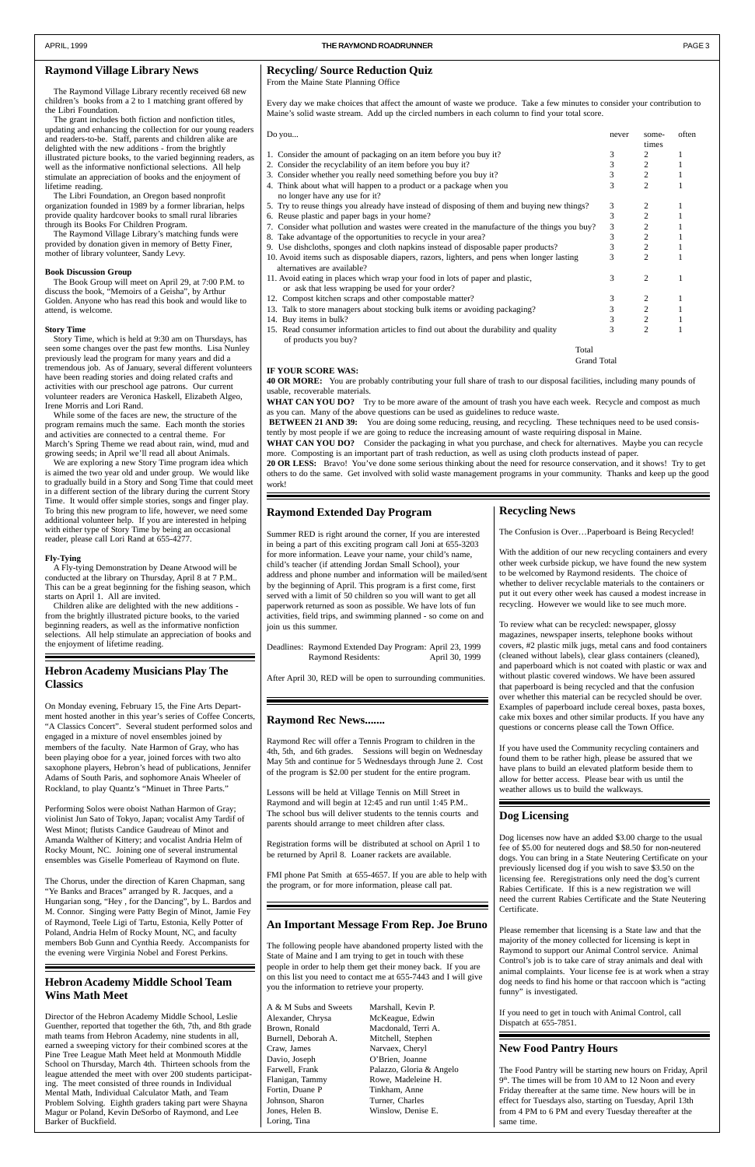#### **New Food Pantry Hours**

The Food Pantry will be starting new hours on Friday, April 9th. The times will be from 10 AM to 12 Noon and every Friday thereafter at the same time. New hours will be in effect for Tuesdays also, starting on Tuesday, April 13th from 4 PM to 6 PM and every Tuesday thereafter at the same time.

#### **Recycling/ Source Reduction Quiz**

From the Maine State Planning Office

Every day we make choices that affect the amount of waste we produce. Take a few minutes to consider your contribution to Maine's solid waste stream. Add up the circled numbers in each column to find your total score.

WHAT CAN YOU DO? Try to be more aware of the amount of trash you have each week. Recycle and compost as much as you can. Many of the above questions can be used as guidelines to reduce waste.

| Do you                                                                                       | never | some-          | often |
|----------------------------------------------------------------------------------------------|-------|----------------|-------|
|                                                                                              |       | times          |       |
| 1. Consider the amount of packaging on an item before you buy it?                            | 3     | 2              |       |
| 2. Consider the recyclability of an item before you buy it?                                  | 3     | $\overline{c}$ |       |
| 3. Consider whether you really need something before you buy it?                             | 3     | 2              |       |
| 4. Think about what will happen to a product or a package when you                           | 3     | $\overline{c}$ |       |
| no longer have any use for it?                                                               |       |                |       |
| 5. Try to reuse things you already have instead of disposing of them and buying new things?  | 3     | 2              |       |
| 6. Reuse plastic and paper bags in your home?                                                | 3     | $\overline{c}$ |       |
| 7. Consider what pollution and wastes were created in the manufacture of the things you buy? | 3     | $\overline{c}$ |       |
| 8. Take advantage of the opportunities to recycle in your area?                              | 3     | $\overline{2}$ |       |
| 9. Use dishcloths, sponges and cloth napkins instead of disposable paper products?           | 3     | $\overline{c}$ |       |
| 10. Avoid items such as disposable diapers, razors, lighters, and pens when longer lasting   | 3     | $\overline{c}$ |       |
| alternatives are available?                                                                  |       |                |       |
| 11. Avoid eating in places which wrap your food in lots of paper and plastic,                | 3     | $\overline{c}$ |       |
| or ask that less wrapping be used for your order?                                            |       |                |       |
| 12. Compost kitchen scraps and other compostable matter?                                     | 3     | 2              |       |
| 13. Talk to store managers about stocking bulk items or avoiding packaging?                  | 3     | $\overline{c}$ |       |
| 14. Buy items in bulk?                                                                       | 3     | 2              |       |
| 15. Read consumer information articles to find out about the durability and quality          | 3     | $\overline{c}$ |       |
| of products you buy?                                                                         |       |                |       |
| Total                                                                                        |       |                |       |

Grand Total

#### **IF YOUR SCORE WAS:**

**40 OR MORE:** You are probably contributing your full share of trash to our disposal facilities, including many pounds of usable, recoverable materials.

 **BETWEEN 21 AND 39:** You are doing some reducing, reusing, and recycling. These techniques need to be used consistently by most people if we are going to reduce the increasing amount of waste requiring disposal in Maine.

**WHAT CAN YOU DO?** Consider the packaging in what you purchase, and check for alternatives. Maybe you can recycle more. Composting is an important part of trash reduction, as well as using cloth products instead of paper.

**20 OR LESS:** Bravo! You've done some serious thinking about the need for resource conservation, and it shows! Try to get others to do the same. Get involved with solid waste management programs in your community. Thanks and keep up the good work!

A & M Subs and Sweets Marshall, Kevin P. Alexander, Chrysa McKeague, Edwin Brown, Ronald Macdonald, Terri A. Burnell, Deborah A. Mitchell, Stephen Craw, James Narvaex, Cheryl Davio, Joseph O'Brien, Joanne Flanigan, Tammy Rowe, Madeleine H. Fortin, Duane P Tinkham, Anne Johnson, Sharon Turner, Charles Jones, Helen B. Winslow, Denise E. Loring, Tina

Farwell, Frank Palazzo, Gloria & Angelo

#### **Dog Licensing**

Dog licenses now have an added \$3.00 charge to the usual fee of \$5.00 for neutered dogs and \$8.50 for non-neutered dogs. You can bring in a State Neutering Certificate on your previously licensed dog if you wish to save \$3.50 on the licensing fee. Reregistrations only need the dog's current Rabies Certificate. If this is a new registration we will need the current Rabies Certificate and the State Neutering Certificate.

Please remember that licensing is a State law and that the majority of the money collected for licensing is kept in Raymond to support our Animal Control service. Animal Control's job is to take care of stray animals and deal with animal complaints. Your license fee is at work when a stray dog needs to find his home or that raccoon which is "acting funny" is investigated.

If you need to get in touch with Animal Control, call Dispatch at 655-7851.

#### **Recycling News**

The Confusion is Over…Paperboard is Being Recycled!

With the addition of our new recycling containers and every other week curbside pickup, we have found the new system to be welcomed by Raymond residents. The choice of whether to deliver recyclable materials to the containers or put it out every other week has caused a modest increase in recycling. However we would like to see much more.

To review what can be recycled: newspaper, glossy magazines, newspaper inserts, telephone books without covers, #2 plastic milk jugs, metal cans and food containers (cleaned without labels), clear glass containers (cleaned), and paperboard which is not coated with plastic or wax and without plastic covered windows. We have been assured that paperboard is being recycled and that the confusion over whether this material can be recycled should be over. Examples of paperboard include cereal boxes, pasta boxes, cake mix boxes and other similar products. If you have any questions or concerns please call the Town Office.

If you have used the Community recycling containers and found them to be rather high, please be assured that we have plans to build an elevated platform beside them to allow for better access. Please bear with us until the weather allows us to build the walkways.

#### **An Important Message From Rep. Joe Bruno**

The following people have abandoned property listed with the State of Maine and I am trying to get in touch with these people in order to help them get their money back. If you are on this list you need to contact me at 655-7443 and I will give you the information to retrieve your property.

#### **Hebron Academy Middle School Team Wins Math Meet**

Director of the Hebron Academy Middle School, Leslie Guenther, reported that together the 6th, 7th, and 8th grade math teams from Hebron Academy, nine students in all, earned a sweeping victory for their combined scores at the Pine Tree League Math Meet held at Monmouth Middle School on Thursday, March 4th. Thirteen schools from the league attended the meet with over 200 students participating. The meet consisted of three rounds in Individual Mental Math, Individual Calculator Math, and Team Problem Solving. Eighth graders taking part were Shayna Magur or Poland, Kevin DeSorbo of Raymond, and Lee Barker of Buckfield.

#### **Hebron Academy Musicians Play The Classics**

On Monday evening, February 15, the Fine Arts Department hosted another in this year's series of Coffee Concerts, "A Classics Concert". Several student performed solos and engaged in a mixture of novel ensembles joined by members of the faculty. Nate Harmon of Gray, who has been playing oboe for a year, joined forces with two alto saxophone players, Hebron's head of publications, Jennifer Adams of South Paris, and sophomore Anais Wheeler of Rockland, to play Quantz's "Minuet in Three Parts."

Performing Solos were oboist Nathan Harmon of Gray; violinist Jun Sato of Tokyo, Japan; vocalist Amy Tardif of West Minot; flutists Candice Gaudreau of Minot and Amanda Walther of Kittery; and vocalist Andria Helm of Rocky Mount, NC. Joining one of several instrumental

ensembles was Giselle Pomerleau of Raymond on flute.

The Chorus, under the direction of Karen Chapman, sang "Ye Banks and Braces" arranged by R. Jacques, and a Hungarian song, "Hey , for the Dancing", by L. Bardos and M. Connor. Singing were Patty Begin of Minot, Jamie Fey of Raymond, Teele Ligi of Tartu, Estonia, Kelly Potter of Poland, Andria Helm of Rocky Mount, NC, and faculty members Bob Gunn and Cynthia Reedy. Accompanists for the evening were Virginia Nobel and Forest Perkins.

#### **Raymond Village Library News**

The Raymond Village Library recently received 68 new children's books from a 2 to 1 matching grant offered by the Libri Foundation.

The grant includes both fiction and nonfiction titles, updating and enhancing the collection for our young readers and readers-to-be. Staff, parents and children alike are delighted with the new additions - from the brightly illustrated picture books, to the varied beginning readers, as well as the informative nonfictional selections. All help stimulate an appreciation of books and the enjoyment of lifetime reading.

The Libri Foundation, an Oregon based nonprofit organization founded in 1989 by a former librarian, helps provide quality hardcover books to small rural libraries through its Books For Children Program.

The Raymond Village Library's matching funds were provided by donation given in memory of Betty Finer, mother of library volunteer, Sandy Levy.

#### **Book Discussion Group**

The Book Group will meet on April 29, at 7:00 P.M. to discuss the book, "Memoirs of a Geisha", by Arthur Golden. Anyone who has read this book and would like to attend, is welcome.

#### **Story Time**

Story Time, which is held at 9:30 am on Thursdays, has seen some changes over the past few months. Lisa Nunley previously lead the program for many years and did a tremendous job. As of January, several different volunteers have been reading stories and doing related crafts and activities with our preschool age patrons. Our current volunteer readers are Veronica Haskell, Elizabeth Algeo, Irene Morris and Lori Rand.

While some of the faces are new, the structure of the program remains much the same. Each month the stories and activities are connected to a central theme. For March's Spring Theme we read about rain, wind, mud and growing seeds; in April we'll read all about Animals.

We are exploring a new Story Time program idea which is aimed the two year old and under group. We would like to gradually build in a Story and Song Time that could meet in a different section of the library during the current Story Time. It would offer simple stories, songs and finger play. To bring this new program to life, however, we need some additional volunteer help. If you are interested in helping with either type of Story Time by being an occasional reader, please call Lori Rand at 655-4277.

#### **Fly-Tying**

A Fly-tying Demonstration by Deane Atwood will be conducted at the library on Thursday, April 8 at 7 P.M.. This can be a great beginning for the fishing season, which starts on April 1. All are invited.

Children alike are delighted with the new additions from the brightly illustrated picture books, to the varied beginning readers, as well as the informative nonfiction selections. All help stimulate an appreciation of books and the enjoyment of lifetime reading.

#### **Raymond Rec News.......**

Raymond Rec will offer a Tennis Program to children in the 4th, 5th, and 6th grades. Sessions will begin on Wednesday May 5th and continue for 5 Wednesdays through June 2. Cost of the program is \$2.00 per student for the entire program.

Lessons will be held at Village Tennis on Mill Street in Raymond and will begin at 12:45 and run until 1:45 P.M.. The school bus will deliver students to the tennis courts and parents should arrange to meet children after class.

Registration forms will be distributed at school on April 1 to be returned by April 8. Loaner rackets are available.

FMI phone Pat Smith at 655-4657. If you are able to help with the program, or for more information, please call pat.

#### **Raymond Extended Day Program**

Summer RED is right around the corner, If you are interested in being a part of this exciting program call Joni at 655-3203 for more information. Leave your name, your child's name, child's teacher (if attending Jordan Small School), your address and phone number and information will be mailed/sent by the beginning of April. This program is a first come, first served with a limit of 50 children so you will want to get all paperwork returned as soon as possible. We have lots of fun activities, field trips, and swimming planned - so come on and join us this summer.

Deadlines: Raymond Extended Day Program: April 23, 1999 Raymond Residents: April 30, 1999

After April 30, RED will be open to surrounding communities.